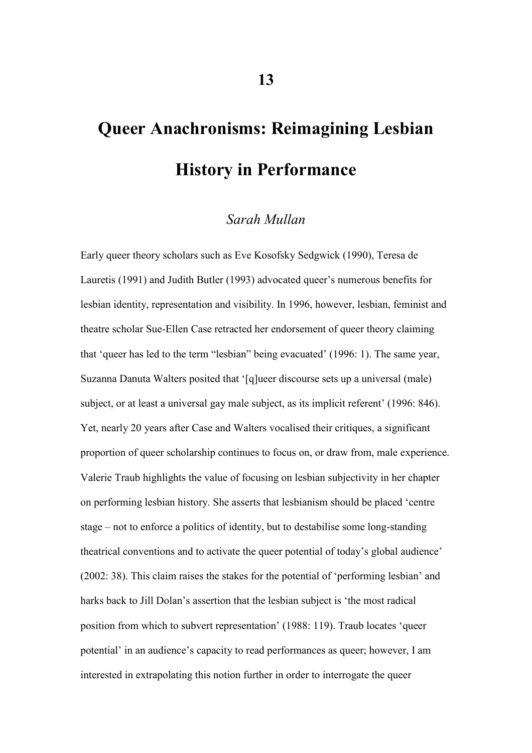# **Queer Anachronisms: Reimagining Lesbian History in Performance**

### *Sarah Mullan*

Early queer theory scholars such as Eve Kosofsky Sedgwick (1990), Teresa de Lauretis (1991) and Judith Butler (1993) advocated queer's numerous benefits for lesbian identity, representation and visibility. In 1996, however, lesbian, feminist and theatre scholar Sue-Ellen Case retracted her endorsement of queer theory claiming that 'queer has led to the term "lesbian" being evacuated' (1996: 1). The same year, Suzanna Danuta Walters posited that '[q]ueer discourse sets up a universal (male) subject, or at least a universal gay male subject, as its implicit referent' (1996: 846). Yet, nearly 20 years after Case and Walters vocalised their critiques, a significant proportion of queer scholarship continues to focus on, or draw from, male experience. Valerie Traub highlights the value of focusing on lesbian subjectivity in her chapter on performing lesbian history. She asserts that lesbianism should be placed 'centre stage – not to enforce a politics of identity, but to destabilise some long-standing theatrical conventions and to activate the queer potential of today's global audience' (2002: 38). This claim raises the stakes for the potential of 'performing lesbian' and harks back to Jill Dolan's assertion that the lesbian subject is 'the most radical position from which to subvert representation' (1988: 119). Traub locates 'queer potential' in an audience's capacity to read performances as queer; however, I am interested in extrapolating this notion further in order to interrogate the queer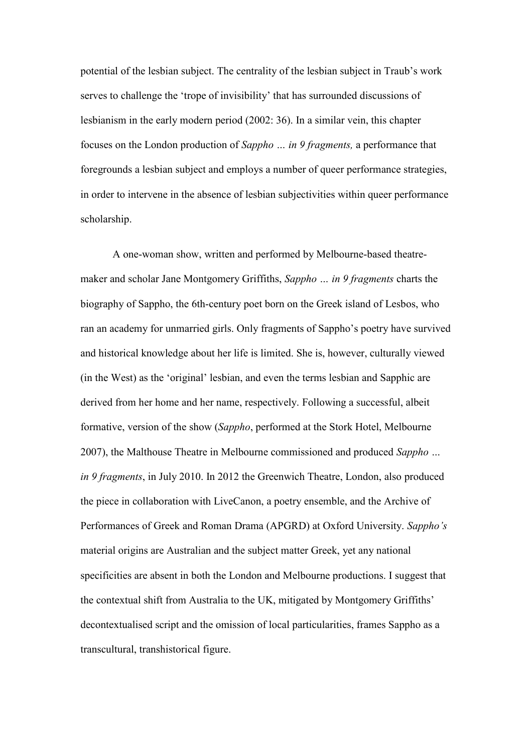potential of the lesbian subject. The centrality of the lesbian subject in Traub's work serves to challenge the 'trope of invisibility' that has surrounded discussions of lesbianism in the early modern period (2002: 36). In a similar vein, this chapter focuses on the London production of *Sappho … in 9 fragments,* a performance that foregrounds a lesbian subject and employs a number of queer performance strategies, in order to intervene in the absence of lesbian subjectivities within queer performance scholarship.

A one-woman show, written and performed by Melbourne-based theatremaker and scholar Jane Montgomery Griffiths, *Sappho … in 9 fragments* charts the biography of Sappho, the 6th-century poet born on the Greek island of Lesbos, who ran an academy for unmarried girls. Only fragments of Sappho's poetry have survived and historical knowledge about her life is limited. She is, however, culturally viewed (in the West) as the 'original' lesbian, and even the terms lesbian and Sapphic are derived from her home and her name, respectively. Following a successful, albeit formative, version of the show (*Sappho*, performed at the Stork Hotel, Melbourne 2007), the Malthouse Theatre in Melbourne commissioned and produced *Sappho … in 9 fragments*, in July 2010. In 2012 the Greenwich Theatre, London, also produced the piece in collaboration with LiveCanon, a poetry ensemble, and the Archive of Performances of Greek and Roman Drama (APGRD) at Oxford University. *Sappho's* material origins are Australian and the subject matter Greek, yet any national specificities are absent in both the London and Melbourne productions. I suggest that the contextual shift from Australia to the UK, mitigated by Montgomery Griffiths' decontextualised script and the omission of local particularities, frames Sappho as a transcultural, transhistorical figure.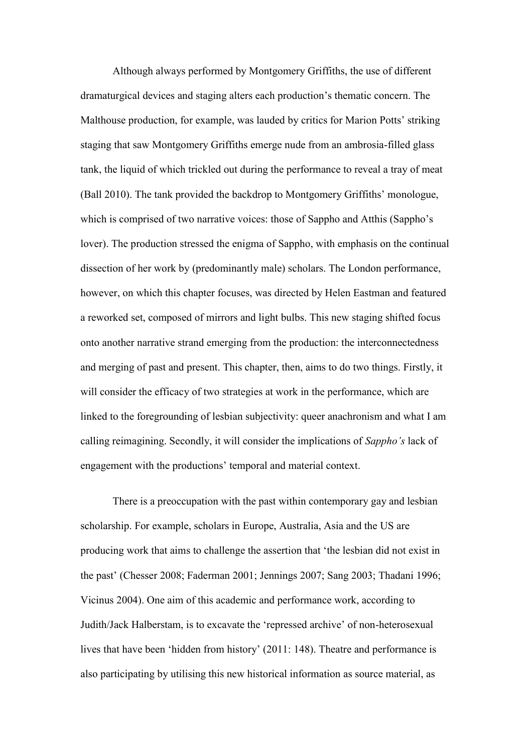Although always performed by Montgomery Griffiths, the use of different dramaturgical devices and staging alters each production's thematic concern. The Malthouse production, for example, was lauded by critics for Marion Potts' striking staging that saw Montgomery Griffiths emerge nude from an ambrosia-filled glass tank, the liquid of which trickled out during the performance to reveal a tray of meat (Ball 2010). The tank provided the backdrop to Montgomery Griffiths' monologue, which is comprised of two narrative voices: those of Sappho and Atthis (Sappho's lover). The production stressed the enigma of Sappho, with emphasis on the continual dissection of her work by (predominantly male) scholars. The London performance, however, on which this chapter focuses, was directed by Helen Eastman and featured a reworked set, composed of mirrors and light bulbs. This new staging shifted focus onto another narrative strand emerging from the production: the interconnectedness and merging of past and present. This chapter, then, aims to do two things. Firstly, it will consider the efficacy of two strategies at work in the performance, which are linked to the foregrounding of lesbian subjectivity: queer anachronism and what I am calling reimagining. Secondly, it will consider the implications of *Sappho's* lack of engagement with the productions' temporal and material context.

There is a preoccupation with the past within contemporary gay and lesbian scholarship. For example, scholars in Europe, Australia, Asia and the US are producing work that aims to challenge the assertion that 'the lesbian did not exist in the past' (Chesser 2008; Faderman 2001; Jennings 2007; Sang 2003; Thadani 1996; Vicinus 2004). One aim of this academic and performance work, according to Judith/Jack Halberstam, is to excavate the 'repressed archive' of non-heterosexual lives that have been 'hidden from history' (2011: 148). Theatre and performance is also participating by utilising this new historical information as source material, as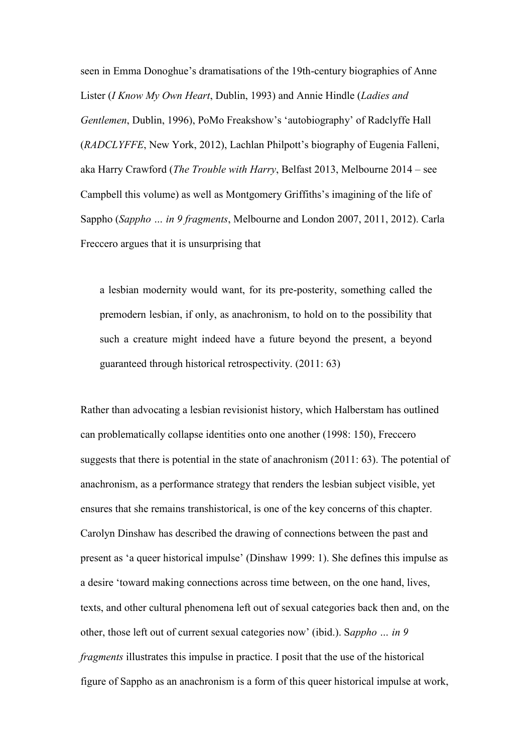seen in Emma Donoghue's dramatisations of the 19th-century biographies of Anne Lister (*I Know My Own Heart*, Dublin, 1993) and Annie Hindle (*Ladies and Gentlemen*, Dublin, 1996), PoMo Freakshow's 'autobiography' of Radclyffe Hall (*RADCLYFFE*, New York, 2012), Lachlan Philpott's biography of Eugenia Falleni, aka Harry Crawford (*The Trouble with Harry*, Belfast 2013, Melbourne 2014 – see Campbell this volume) as well as Montgomery Griffiths's imagining of the life of Sappho (*Sappho … in 9 fragments*, Melbourne and London 2007, 2011, 2012). Carla Freccero argues that it is unsurprising that

a lesbian modernity would want, for its pre-posterity, something called the premodern lesbian, if only, as anachronism, to hold on to the possibility that such a creature might indeed have a future beyond the present, a beyond guaranteed through historical retrospectivity. (2011: 63)

Rather than advocating a lesbian revisionist history, which Halberstam has outlined can problematically collapse identities onto one another (1998: 150), Freccero suggests that there is potential in the state of anachronism (2011: 63). The potential of anachronism, as a performance strategy that renders the lesbian subject visible, yet ensures that she remains transhistorical, is one of the key concerns of this chapter. Carolyn Dinshaw has described the drawing of connections between the past and present as 'a queer historical impulse' (Dinshaw 1999: 1). She defines this impulse as a desire 'toward making connections across time between, on the one hand, lives, texts, and other cultural phenomena left out of sexual categories back then and, on the other, those left out of current sexual categories now' (ibid.). S*appho … in 9 fragments* illustrates this impulse in practice. I posit that the use of the historical figure of Sappho as an anachronism is a form of this queer historical impulse at work,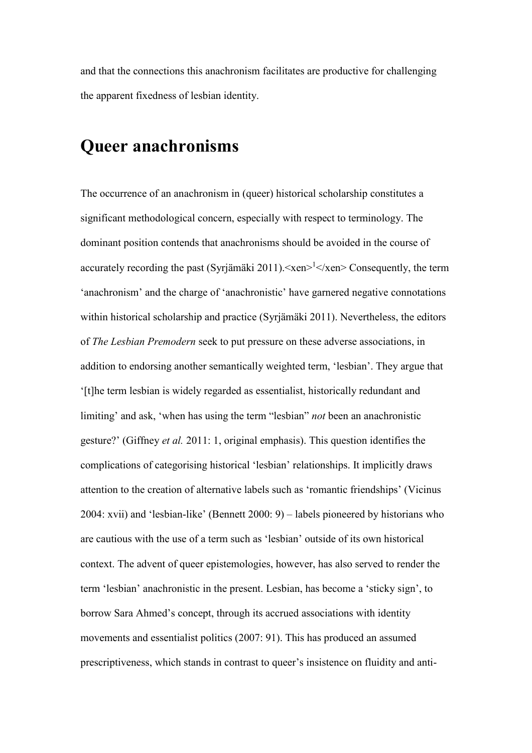and that the connections this anachronism facilitates are productive for challenging the apparent fixedness of lesbian identity.

## **Queer anachronisms**

The occurrence of an anachronism in (queer) historical scholarship constitutes a significant methodological concern, especially with respect to terminology. The dominant position contends that anachronisms should be avoided in the course of accurately recording the past (Syrjämäki 2011).  $\langle x \rangle$  =  $\langle x \rangle$  Consequently, the term 'anachronism' and the charge of 'anachronistic' have garnered negative connotations within historical scholarship and practice (Syrjämäki 2011). Nevertheless, the editors of *The Lesbian Premodern* seek to put pressure on these adverse associations, in addition to endorsing another semantically weighted term, 'lesbian'. They argue that '[t]he term lesbian is widely regarded as essentialist, historically redundant and limiting' and ask, 'when has using the term "lesbian" *not* been an anachronistic gesture?' (Giffney *et al.* 2011: 1, original emphasis). This question identifies the complications of categorising historical 'lesbian' relationships. It implicitly draws attention to the creation of alternative labels such as 'romantic friendships' (Vicinus 2004: xvii) and 'lesbian-like' (Bennett 2000: 9) – labels pioneered by historians who are cautious with the use of a term such as 'lesbian' outside of its own historical context. The advent of queer epistemologies, however, has also served to render the term 'lesbian' anachronistic in the present. Lesbian, has become a 'sticky sign', to borrow Sara Ahmed's concept, through its accrued associations with identity movements and essentialist politics (2007: 91). This has produced an assumed prescriptiveness, which stands in contrast to queer's insistence on fluidity and anti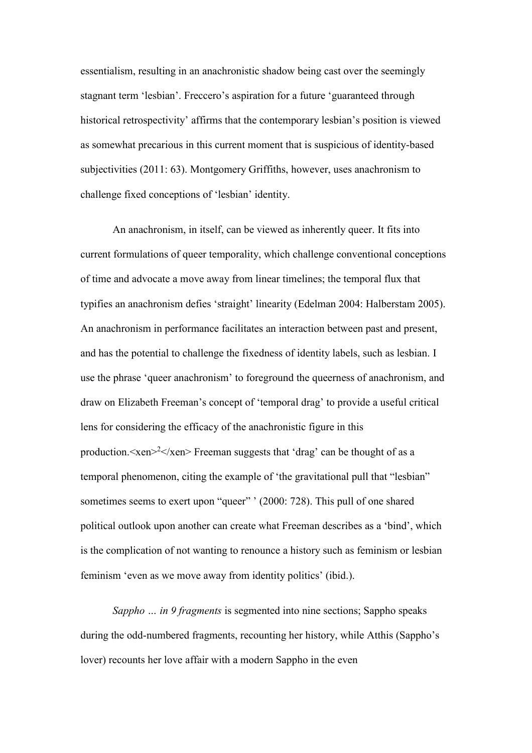essentialism, resulting in an anachronistic shadow being cast over the seemingly stagnant term 'lesbian'. Freccero's aspiration for a future 'guaranteed through historical retrospectivity' affirms that the contemporary lesbian's position is viewed as somewhat precarious in this current moment that is suspicious of identity-based subjectivities (2011: 63). Montgomery Griffiths, however, uses anachronism to challenge fixed conceptions of 'lesbian' identity.

An anachronism, in itself, can be viewed as inherently queer. It fits into current formulations of queer temporality, which challenge conventional conceptions of time and advocate a move away from linear timelines; the temporal flux that typifies an anachronism defies 'straight' linearity (Edelman 2004: Halberstam 2005). An anachronism in performance facilitates an interaction between past and present, and has the potential to challenge the fixedness of identity labels, such as lesbian. I use the phrase 'queer anachronism' to foreground the queerness of anachronism, and draw on Elizabeth Freeman's concept of 'temporal drag' to provide a useful critical lens for considering the efficacy of the anachronistic figure in this production. $\langle x \rangle$ en $\langle x \rangle$  Freeman suggests that 'drag' can be thought of as a temporal phenomenon, citing the example of 'the gravitational pull that "lesbian" sometimes seems to exert upon "queer" ' (2000: 728). This pull of one shared political outlook upon another can create what Freeman describes as a 'bind', which is the complication of not wanting to renounce a history such as feminism or lesbian feminism 'even as we move away from identity politics' (ibid.).

*Sappho … in 9 fragments* is segmented into nine sections; Sappho speaks during the odd-numbered fragments, recounting her history, while Atthis (Sappho's lover) recounts her love affair with a modern Sappho in the even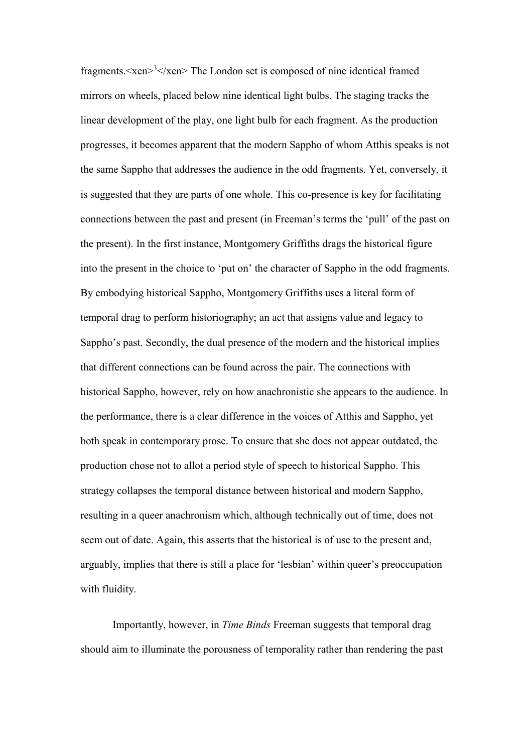fragments. $\langle x \rangle^3 \langle x \rangle$  The London set is composed of nine identical framed mirrors on wheels, placed below nine identical light bulbs. The staging tracks the linear development of the play, one light bulb for each fragment. As the production progresses, it becomes apparent that the modern Sappho of whom Atthis speaks is not the same Sappho that addresses the audience in the odd fragments. Yet, conversely, it is suggested that they are parts of one whole. This co-presence is key for facilitating connections between the past and present (in Freeman's terms the 'pull' of the past on the present). In the first instance, Montgomery Griffiths drags the historical figure into the present in the choice to 'put on' the character of Sappho in the odd fragments. By embodying historical Sappho, Montgomery Griffiths uses a literal form of temporal drag to perform historiography; an act that assigns value and legacy to Sappho's past. Secondly, the dual presence of the modern and the historical implies that different connections can be found across the pair. The connections with historical Sappho, however, rely on how anachronistic she appears to the audience. In the performance, there is a clear difference in the voices of Atthis and Sappho, yet both speak in contemporary prose. To ensure that she does not appear outdated, the production chose not to allot a period style of speech to historical Sappho. This strategy collapses the temporal distance between historical and modern Sappho, resulting in a queer anachronism which, although technically out of time, does not seem out of date. Again, this asserts that the historical is of use to the present and, arguably, implies that there is still a place for 'lesbian' within queer's preoccupation with fluidity.

Importantly, however, in *Time Binds* Freeman suggests that temporal drag should aim to illuminate the porousness of temporality rather than rendering the past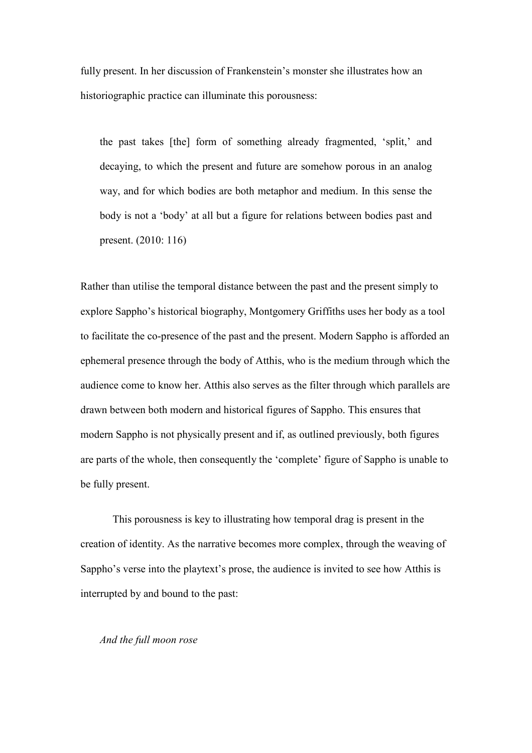fully present. In her discussion of Frankenstein's monster she illustrates how an historiographic practice can illuminate this porousness:

the past takes [the] form of something already fragmented, 'split,' and decaying, to which the present and future are somehow porous in an analog way, and for which bodies are both metaphor and medium. In this sense the body is not a 'body' at all but a figure for relations between bodies past and present. (2010: 116)

Rather than utilise the temporal distance between the past and the present simply to explore Sappho's historical biography, Montgomery Griffiths uses her body as a tool to facilitate the co-presence of the past and the present. Modern Sappho is afforded an ephemeral presence through the body of Atthis, who is the medium through which the audience come to know her. Atthis also serves as the filter through which parallels are drawn between both modern and historical figures of Sappho. This ensures that modern Sappho is not physically present and if, as outlined previously, both figures are parts of the whole, then consequently the 'complete' figure of Sappho is unable to be fully present.

This porousness is key to illustrating how temporal drag is present in the creation of identity. As the narrative becomes more complex, through the weaving of Sappho's verse into the playtext's prose, the audience is invited to see how Atthis is interrupted by and bound to the past:

#### *And the full moon rose*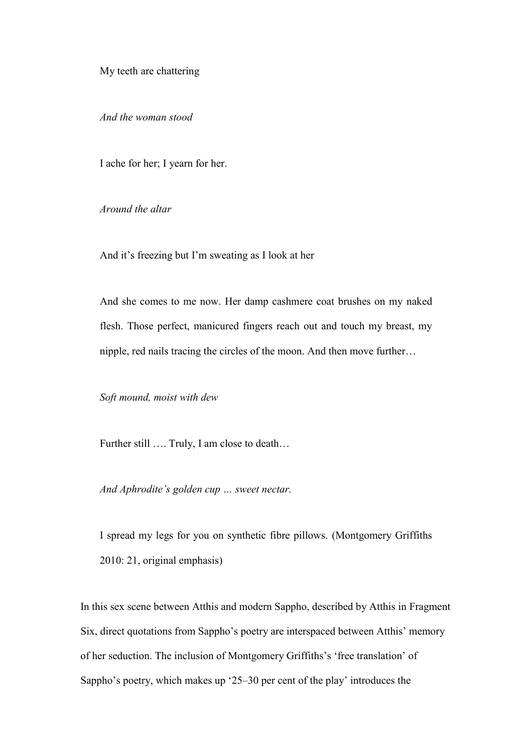My teeth are chattering

*And the woman stood*

I ache for her; I yearn for her.

*Around the altar*

And it's freezing but I'm sweating as I look at her

And she comes to me now. Her damp cashmere coat brushes on my naked flesh. Those perfect, manicured fingers reach out and touch my breast, my nipple, red nails tracing the circles of the moon. And then move further…

*Soft mound, moist with dew*

Further still …. Truly, I am close to death…

*And Aphrodite's golden cup … sweet nectar.*

I spread my legs for you on synthetic fibre pillows. (Montgomery Griffiths 2010: 21, original emphasis)

In this sex scene between Atthis and modern Sappho, described by Atthis in Fragment Six, direct quotations from Sappho's poetry are interspaced between Atthis' memory of her seduction. The inclusion of Montgomery Griffiths's 'free translation' of Sappho's poetry, which makes up '25–30 per cent of the play' introduces the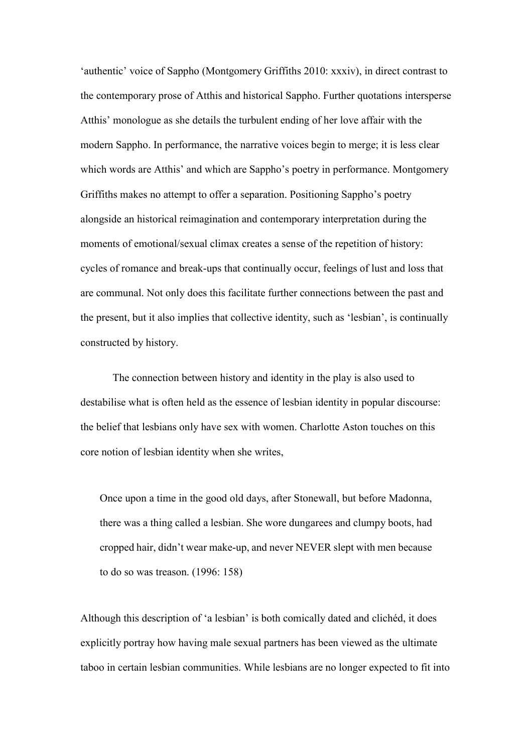'authentic' voice of Sappho (Montgomery Griffiths 2010: xxxiv), in direct contrast to the contemporary prose of Atthis and historical Sappho. Further quotations intersperse Atthis' monologue as she details the turbulent ending of her love affair with the modern Sappho. In performance, the narrative voices begin to merge; it is less clear which words are Atthis' and which are Sappho's poetry in performance. Montgomery Griffiths makes no attempt to offer a separation. Positioning Sappho's poetry alongside an historical reimagination and contemporary interpretation during the moments of emotional/sexual climax creates a sense of the repetition of history: cycles of romance and break-ups that continually occur, feelings of lust and loss that are communal. Not only does this facilitate further connections between the past and the present, but it also implies that collective identity, such as 'lesbian', is continually constructed by history.

The connection between history and identity in the play is also used to destabilise what is often held as the essence of lesbian identity in popular discourse: the belief that lesbians only have sex with women. Charlotte Aston touches on this core notion of lesbian identity when she writes,

Once upon a time in the good old days, after Stonewall, but before Madonna, there was a thing called a lesbian. She wore dungarees and clumpy boots, had cropped hair, didn't wear make-up, and never NEVER slept with men because to do so was treason. (1996: 158)

Although this description of 'a lesbian' is both comically dated and clichéd, it does explicitly portray how having male sexual partners has been viewed as the ultimate taboo in certain lesbian communities. While lesbians are no longer expected to fit into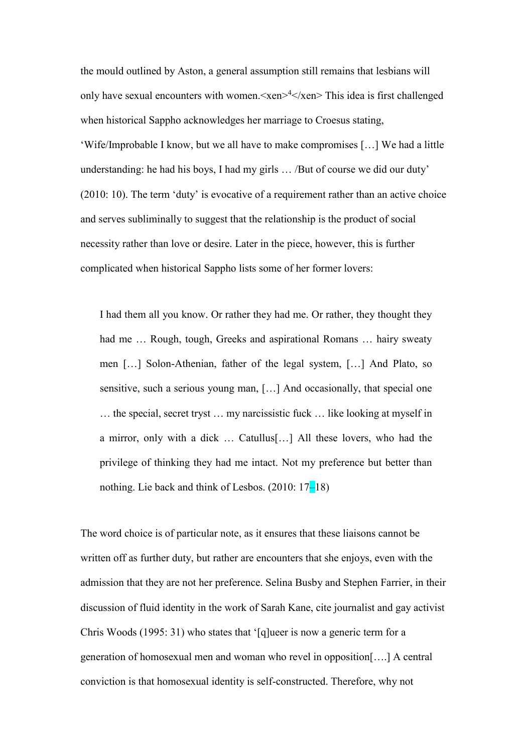the mould outlined by Aston, a general assumption still remains that lesbians will only have sexual encounters with women.  $\langle xen \rangle^4 \langle xen \rangle$  This idea is first challenged when historical Sappho acknowledges her marriage to Croesus stating, 'Wife/Improbable I know, but we all have to make compromises […] We had a little understanding: he had his boys, I had my girls ... / But of course we did our duty' (2010: 10). The term 'duty' is evocative of a requirement rather than an active choice and serves subliminally to suggest that the relationship is the product of social necessity rather than love or desire. Later in the piece, however, this is further complicated when historical Sappho lists some of her former lovers:

I had them all you know. Or rather they had me. Or rather, they thought they had me ... Rough, tough, Greeks and aspirational Romans ... hairy sweaty men […] Solon-Athenian, father of the legal system, […] And Plato, so sensitive, such a serious young man, […] And occasionally, that special one … the special, secret tryst … my narcissistic fuck … like looking at myself in a mirror, only with a dick … Catullus[…] All these lovers, who had the privilege of thinking they had me intact. Not my preference but better than nothing. Lie back and think of Lesbos. (2010: 17–18)

The word choice is of particular note, as it ensures that these liaisons cannot be written off as further duty, but rather are encounters that she enjoys, even with the admission that they are not her preference. Selina Busby and Stephen Farrier, in their discussion of fluid identity in the work of Sarah Kane, cite journalist and gay activist Chris Woods (1995: 31) who states that '[q]ueer is now a generic term for a generation of homosexual men and woman who revel in opposition[….] A central conviction is that homosexual identity is self-constructed. Therefore, why not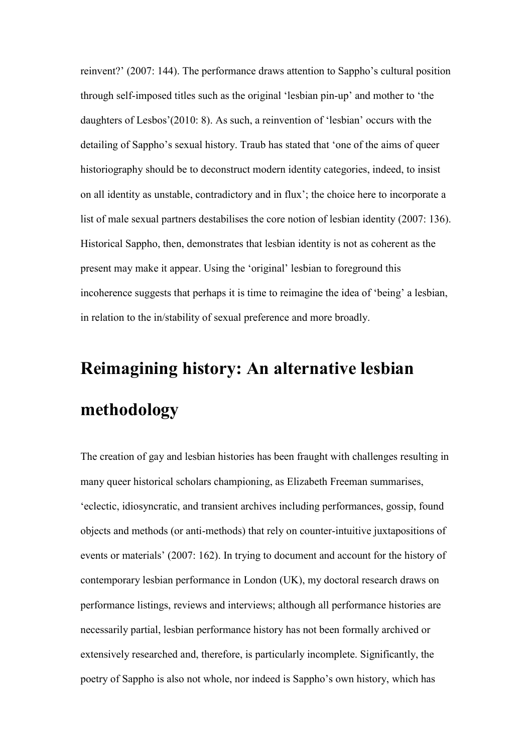reinvent?' (2007: 144). The performance draws attention to Sappho's cultural position through self-imposed titles such as the original 'lesbian pin-up' and mother to 'the daughters of Lesbos'(2010: 8). As such, a reinvention of 'lesbian' occurs with the detailing of Sappho's sexual history. Traub has stated that 'one of the aims of queer historiography should be to deconstruct modern identity categories, indeed, to insist on all identity as unstable, contradictory and in flux'; the choice here to incorporate a list of male sexual partners destabilises the core notion of lesbian identity (2007: 136). Historical Sappho, then, demonstrates that lesbian identity is not as coherent as the present may make it appear. Using the 'original' lesbian to foreground this incoherence suggests that perhaps it is time to reimagine the idea of 'being' a lesbian, in relation to the in/stability of sexual preference and more broadly.

# **Reimagining history: An alternative lesbian methodology**

The creation of gay and lesbian histories has been fraught with challenges resulting in many queer historical scholars championing, as Elizabeth Freeman summarises, 'eclectic, idiosyncratic, and transient archives including performances, gossip, found objects and methods (or anti-methods) that rely on counter-intuitive juxtapositions of events or materials' (2007: 162). In trying to document and account for the history of contemporary lesbian performance in London (UK), my doctoral research draws on performance listings, reviews and interviews; although all performance histories are necessarily partial, lesbian performance history has not been formally archived or extensively researched and, therefore, is particularly incomplete. Significantly, the poetry of Sappho is also not whole, nor indeed is Sappho's own history, which has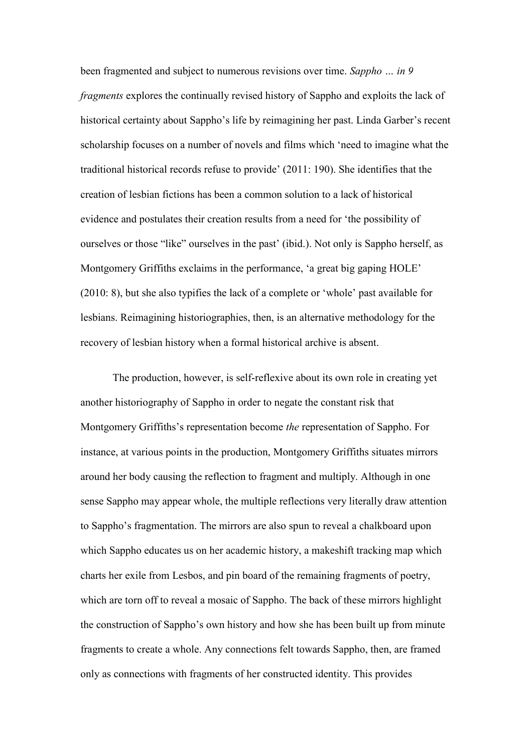been fragmented and subject to numerous revisions over time. *Sappho … in 9 fragments* explores the continually revised history of Sappho and exploits the lack of historical certainty about Sappho's life by reimagining her past. Linda Garber's recent scholarship focuses on a number of novels and films which 'need to imagine what the traditional historical records refuse to provide' (2011: 190). She identifies that the creation of lesbian fictions has been a common solution to a lack of historical evidence and postulates their creation results from a need for 'the possibility of ourselves or those "like" ourselves in the past' (ibid.). Not only is Sappho herself, as Montgomery Griffiths exclaims in the performance, 'a great big gaping HOLE' (2010: 8), but she also typifies the lack of a complete or 'whole' past available for lesbians. Reimagining historiographies, then, is an alternative methodology for the recovery of lesbian history when a formal historical archive is absent.

The production, however, is self-reflexive about its own role in creating yet another historiography of Sappho in order to negate the constant risk that Montgomery Griffiths's representation become *the* representation of Sappho. For instance, at various points in the production, Montgomery Griffiths situates mirrors around her body causing the reflection to fragment and multiply. Although in one sense Sappho may appear whole, the multiple reflections very literally draw attention to Sappho's fragmentation. The mirrors are also spun to reveal a chalkboard upon which Sappho educates us on her academic history, a makeshift tracking map which charts her exile from Lesbos, and pin board of the remaining fragments of poetry, which are torn off to reveal a mosaic of Sappho. The back of these mirrors highlight the construction of Sappho's own history and how she has been built up from minute fragments to create a whole. Any connections felt towards Sappho, then, are framed only as connections with fragments of her constructed identity. This provides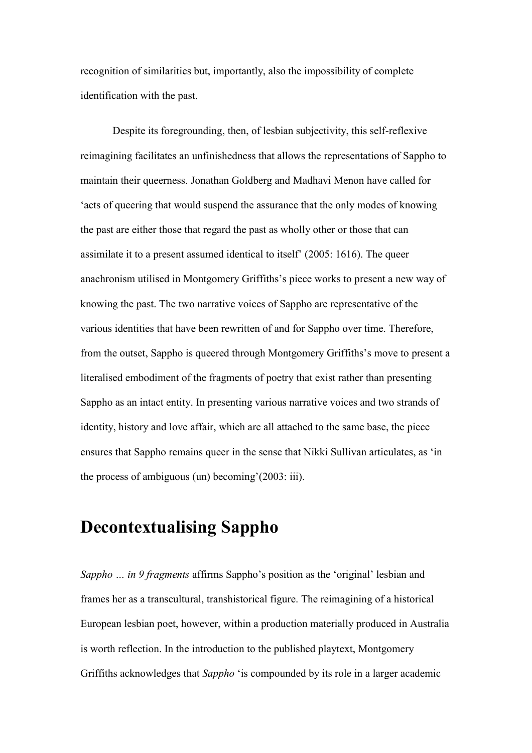recognition of similarities but, importantly, also the impossibility of complete identification with the past.

Despite its foregrounding, then, of lesbian subjectivity, this self-reflexive reimagining facilitates an unfinishedness that allows the representations of Sappho to maintain their queerness. Jonathan Goldberg and Madhavi Menon have called for 'acts of queering that would suspend the assurance that the only modes of knowing the past are either those that regard the past as wholly other or those that can assimilate it to a present assumed identical to itself' (2005: 1616). The queer anachronism utilised in Montgomery Griffiths's piece works to present a new way of knowing the past. The two narrative voices of Sappho are representative of the various identities that have been rewritten of and for Sappho over time. Therefore, from the outset, Sappho is queered through Montgomery Griffiths's move to present a literalised embodiment of the fragments of poetry that exist rather than presenting Sappho as an intact entity. In presenting various narrative voices and two strands of identity, history and love affair, which are all attached to the same base, the piece ensures that Sappho remains queer in the sense that Nikki Sullivan articulates, as 'in the process of ambiguous (un) becoming'(2003: iii).

## **Decontextualising Sappho**

*Sappho … in 9 fragments* affirms Sappho's position as the 'original' lesbian and frames her as a transcultural, transhistorical figure. The reimagining of a historical European lesbian poet, however, within a production materially produced in Australia is worth reflection. In the introduction to the published playtext, Montgomery Griffiths acknowledges that *Sappho* 'is compounded by its role in a larger academic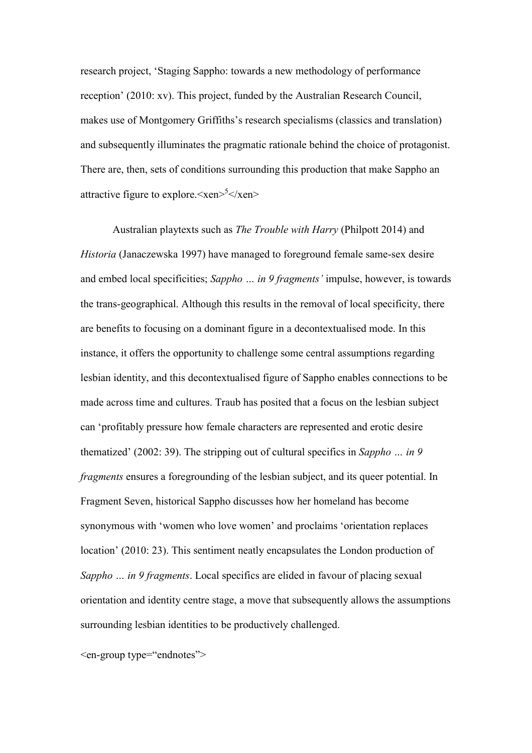research project, 'Staging Sappho: towards a new methodology of performance reception' (2010: xv). This project, funded by the Australian Research Council, makes use of Montgomery Griffiths's research specialisms (classics and translation) and subsequently illuminates the pragmatic rationale behind the choice of protagonist. There are, then, sets of conditions surrounding this production that make Sappho an attractive figure to explore.  $\langle x \rangle^5 \langle x \rangle$ 

Australian playtexts such as *The Trouble with Harry* (Philpott 2014) and *Historia* (Janaczewska 1997) have managed to foreground female same-sex desire and embed local specificities; *Sappho … in 9 fragments'* impulse, however, is towards the trans-geographical. Although this results in the removal of local specificity, there are benefits to focusing on a dominant figure in a decontextualised mode. In this instance, it offers the opportunity to challenge some central assumptions regarding lesbian identity, and this decontextualised figure of Sappho enables connections to be made across time and cultures. Traub has posited that a focus on the lesbian subject can 'profitably pressure how female characters are represented and erotic desire thematized' (2002: 39). The stripping out of cultural specifics in *Sappho … in 9 fragments* ensures a foregrounding of the lesbian subject, and its queer potential. In Fragment Seven, historical Sappho discusses how her homeland has become synonymous with 'women who love women' and proclaims 'orientation replaces location' (2010: 23). This sentiment neatly encapsulates the London production of *Sappho … in 9 fragments*. Local specifics are elided in favour of placing sexual orientation and identity centre stage, a move that subsequently allows the assumptions surrounding lesbian identities to be productively challenged.

<en-group type="endnotes">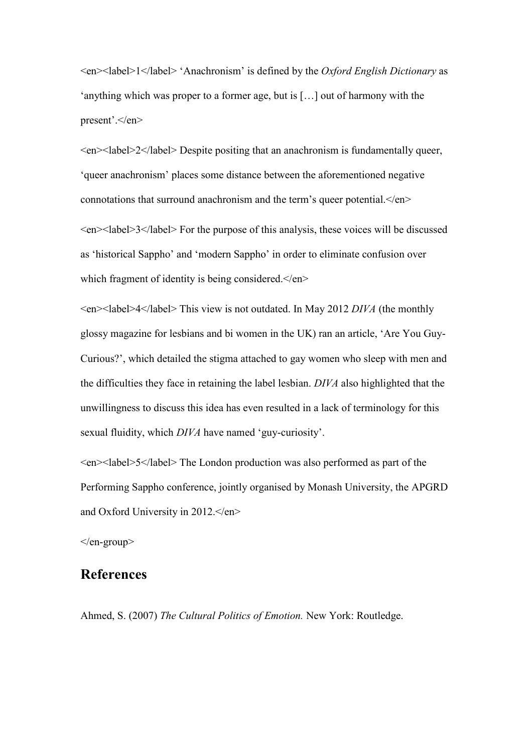<en><label>1</label> 'Anachronism' is defined by the *Oxford English Dictionary* as 'anything which was proper to a former age, but is […] out of harmony with the present'. $\le$ /en>

<en><label>2</label> Despite positing that an anachronism is fundamentally queer, 'queer anachronism' places some distance between the aforementioned negative connotations that surround anachronism and the term's queer potential. $\le$ /en> <en><label>3</label> For the purpose of this analysis, these voices will be discussed as 'historical Sappho' and 'modern Sappho' in order to eliminate confusion over

which fragment of identity is being considered. $\le$ /en>

 $\leq$ en $\geq$ label $\geq$ 4 $\leq$ label $\geq$ This view is not outdated. In May 2012 *DIVA* (the monthly glossy magazine for lesbians and bi women in the UK) ran an article, 'Are You Guy-Curious?', which detailed the stigma attached to gay women who sleep with men and the difficulties they face in retaining the label lesbian. *DIVA* also highlighted that the unwillingness to discuss this idea has even resulted in a lack of terminology for this sexual fluidity, which *DIVA* have named 'guy-curiosity'.

<en><label>5</label> The London production was also performed as part of the Performing Sappho conference, jointly organised by Monash University, the APGRD and Oxford University in 2012.</en>

</en-group>

### **References**

Ahmed, S. (2007) *The Cultural Politics of Emotion.* New York: Routledge.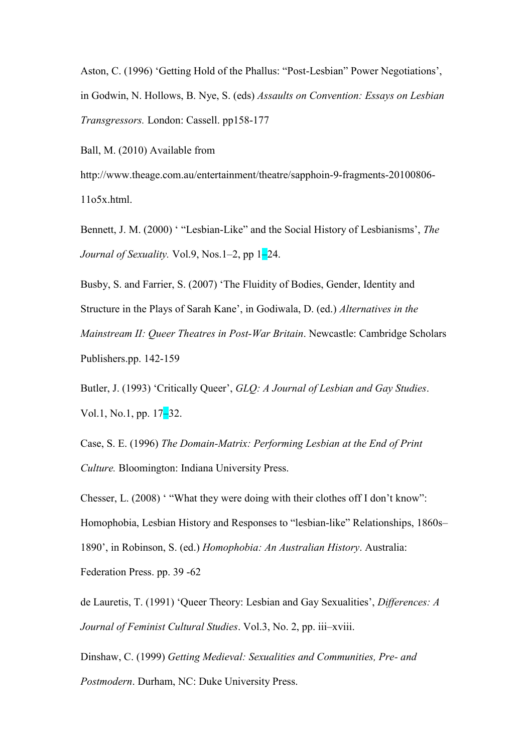Aston, C. (1996) 'Getting Hold of the Phallus: "Post-Lesbian" Power Negotiations', in Godwin, N. Hollows, B. Nye, S. (eds) *Assaults on Convention: Essays on Lesbian Transgressors.* London: Cassell. pp158-177

Ball, M. (2010) Available from

http://www.theage.com.au/entertainment/theatre/sapphoin-9-fragments-20100806- 11o5x.html.

Bennett, J. M. (2000) ' "Lesbian-Like" and the Social History of Lesbianisms', *The Journal of Sexuality.* Vol.9, Nos.1–2, pp 1–24.

Busby, S. and Farrier, S. (2007) 'The Fluidity of Bodies, Gender, Identity and Structure in the Plays of Sarah Kane', in Godiwala, D. (ed.) *Alternatives in the Mainstream II: Queer Theatres in Post-War Britain*. Newcastle: Cambridge Scholars Publishers.pp. 142-159

Butler, J. (1993) 'Critically Queer', *GLQ: A Journal of Lesbian and Gay Studies*. Vol.1, No.1, pp. 17–32.

Case, S. E. (1996) *The Domain-Matrix: Performing Lesbian at the End of Print Culture.* Bloomington: Indiana University Press.

Chesser, L. (2008) ' "What they were doing with their clothes off I don't know": Homophobia, Lesbian History and Responses to "lesbian-like" Relationships, 1860s– 1890', in Robinson, S. (ed.) *Homophobia: An Australian History*. Australia: Federation Press. pp. 39 -62

de Lauretis, T. (1991) 'Queer Theory: Lesbian and Gay Sexualities', *Differences: A Journal of Feminist Cultural Studies*. Vol.3, No. 2, pp. iii–xviii.

Dinshaw, C. (1999) *Getting Medieval: Sexualities and Communities, Pre- and Postmodern*. Durham, NC: Duke University Press.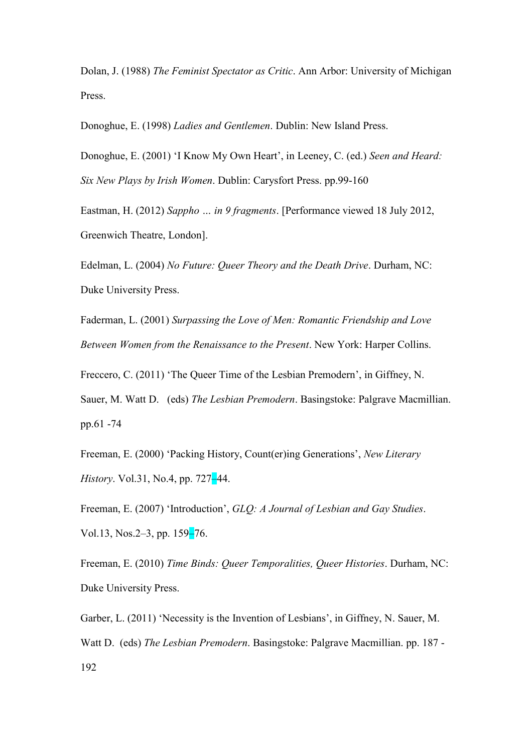Dolan, J. (1988) *The Feminist Spectator as Critic*. Ann Arbor: University of Michigan Press.

Donoghue, E. (1998) *Ladies and Gentlemen*. Dublin: New Island Press.

Donoghue, E. (2001) 'I Know My Own Heart', in Leeney, C. (ed.) *Seen and Heard: Six New Plays by Irish Women*. Dublin: Carysfort Press. pp.99-160

Eastman, H. (2012) *Sappho … in 9 fragments*. [Performance viewed 18 July 2012, Greenwich Theatre, London].

Edelman, L. (2004) *No Future: Queer Theory and the Death Drive*. Durham, NC: Duke University Press.

Faderman, L. (2001) *Surpassing the Love of Men: Romantic Friendship and Love Between Women from the Renaissance to the Present*. New York: Harper Collins.

Freccero, C. (2011) 'The Queer Time of the Lesbian Premodern', in Giffney, N. Sauer, M. Watt D. (eds) *The Lesbian Premodern*. Basingstoke: Palgrave Macmillian. pp.61 -74

Freeman, E. (2000) 'Packing History, Count(er)ing Generations', *New Literary History*. Vol.31, No.4, pp. 727–44.

Freeman, E. (2007) 'Introduction', *GLQ: A Journal of Lesbian and Gay Studies*. Vol.13, Nos.2–3, pp. 159–76.

Freeman, E. (2010) *Time Binds: Queer Temporalities, Queer Histories*. Durham, NC: Duke University Press.

Garber, L. (2011) 'Necessity is the Invention of Lesbians', in Giffney, N. Sauer, M. Watt D. (eds) *The Lesbian Premodern*. Basingstoke: Palgrave Macmillian. pp. 187 - 192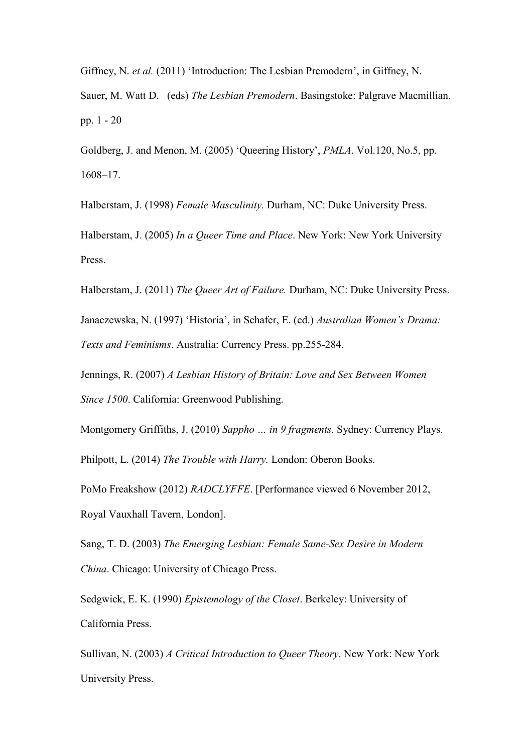Giffney, N. *et al.* (2011) 'Introduction: The Lesbian Premodern', in Giffney, N. Sauer, M. Watt D. (eds) *The Lesbian Premodern*. Basingstoke: Palgrave Macmillian. pp. 1 - 20

Goldberg, J. and Menon, M. (2005) 'Queering History', *PMLA*. Vol.120, No.5, pp. 1608–17.

Halberstam, J. (1998) *Female Masculinity.* Durham, NC: Duke University Press.

Halberstam, J. (2005) *In a Queer Time and Place*. New York: New York University Press.

Halberstam, J. (2011) *The Queer Art of Failure.* Durham, NC: Duke University Press.

Janaczewska, N. (1997) 'Historia', in Schafer, E. (ed.) *Australian Women's Drama: Texts and Feminisms*. Australia: Currency Press. pp.255-284.

Jennings, R. (2007) *A Lesbian History of Britain: Love and Sex Between Women Since 1500*. California: Greenwood Publishing.

Montgomery Griffiths, J. (2010) *Sappho … in 9 fragments*. Sydney: Currency Plays. Philpott, L. (2014) *The Trouble with Harry.* London: Oberon Books.

PoMo Freakshow (2012) *RADCLYFFE*. [Performance viewed 6 November 2012, Royal Vauxhall Tavern, London].

Sang, T. D. (2003) *The Emerging Lesbian: Female Same-Sex Desire in Modern China*. Chicago: University of Chicago Press.

Sedgwick, E. K. (1990) *Epistemology of the Closet*. Berkeley: University of California Press.

Sullivan, N. (2003) *A Critical Introduction to Queer Theory*. New York: New York University Press.